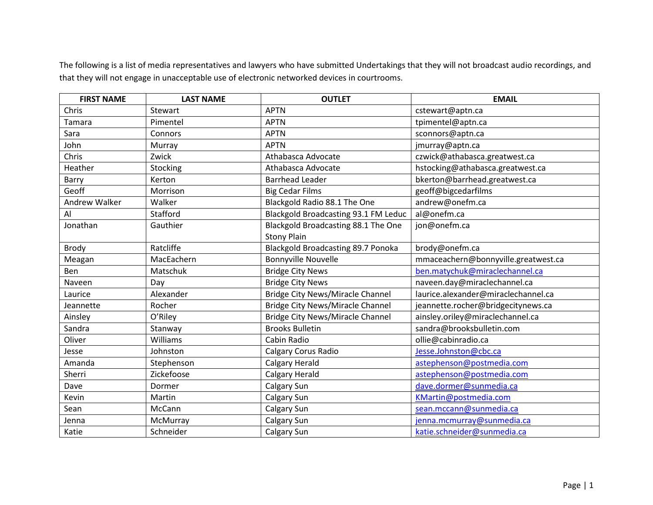The following is a list of media representatives and lawyers who have submitted Undertakings that they will not broadcast audio recordings, and that they will not engage in unacceptable use of electronic networked devices in courtrooms.

| <b>FIRST NAME</b> | <b>LAST NAME</b> | <b>OUTLET</b>                           | <b>EMAIL</b>                        |
|-------------------|------------------|-----------------------------------------|-------------------------------------|
| Chris             | Stewart          | <b>APTN</b>                             | cstewart@aptn.ca                    |
| Tamara            | Pimentel         | <b>APTN</b>                             | tpimentel@aptn.ca                   |
| Sara              | Connors          | <b>APTN</b>                             | sconnors@aptn.ca                    |
| John              | Murray           | <b>APTN</b>                             | jmurray@aptn.ca                     |
| Chris             | Zwick            | Athabasca Advocate                      | czwick@athabasca.greatwest.ca       |
| Heather           | Stocking         | Athabasca Advocate                      | hstocking@athabasca.greatwest.ca    |
| Barry             | Kerton           | <b>Barrhead Leader</b>                  | bkerton@barrhead.greatwest.ca       |
| Geoff             | Morrison         | <b>Big Cedar Films</b>                  | geoff@bigcedarfilms                 |
| Andrew Walker     | Walker           | Blackgold Radio 88.1 The One            | andrew@onefm.ca                     |
| Al                | Stafford         | Blackgold Broadcasting 93.1 FM Leduc    | al@onefm.ca                         |
| Jonathan          | Gauthier         | Blackgold Broadcasting 88.1 The One     | jon@onefm.ca                        |
|                   |                  | <b>Stony Plain</b>                      |                                     |
| <b>Brody</b>      | Ratcliffe        | Blackgold Broadcasting 89.7 Ponoka      | brody@onefm.ca                      |
| Meagan            | MacEachern       | <b>Bonnyville Nouvelle</b>              | mmaceachern@bonnyville.greatwest.ca |
| Ben               | Matschuk         | <b>Bridge City News</b>                 | ben.matychuk@miraclechannel.ca      |
| Naveen            | Day              | <b>Bridge City News</b>                 | naveen.day@miraclechannel.ca        |
| Laurice           | Alexander        | <b>Bridge City News/Miracle Channel</b> | laurice.alexander@miraclechannel.ca |
| Jeannette         | Rocher           | <b>Bridge City News/Miracle Channel</b> | jeannette.rocher@bridgecitynews.ca  |
| Ainsley           | O'Riley          | <b>Bridge City News/Miracle Channel</b> | ainsley.oriley@miraclechannel.ca    |
| Sandra            | Stanway          | <b>Brooks Bulletin</b>                  | sandra@brooksbulletin.com           |
| Oliver            | Williams         | Cabin Radio                             | ollie@cabinradio.ca                 |
| Jesse             | Johnston         | <b>Calgary Corus Radio</b>              | Jesse.Johnston@cbc.ca               |
| Amanda            | Stephenson       | <b>Calgary Herald</b>                   | astephenson@postmedia.com           |
| Sherri            | Zickefoose       | <b>Calgary Herald</b>                   | astephenson@postmedia.com           |
| Dave              | Dormer           | Calgary Sun                             | dave.dormer@sunmedia.ca             |
| Kevin             | Martin           | Calgary Sun                             | KMartin@postmedia.com               |
| Sean              | McCann           | Calgary Sun                             | sean.mccann@sunmedia.ca             |
| Jenna             | McMurray         | Calgary Sun                             | jenna.mcmurray@sunmedia.ca          |
| Katie             | Schneider        | Calgary Sun                             | katie.schneider@sunmedia.ca         |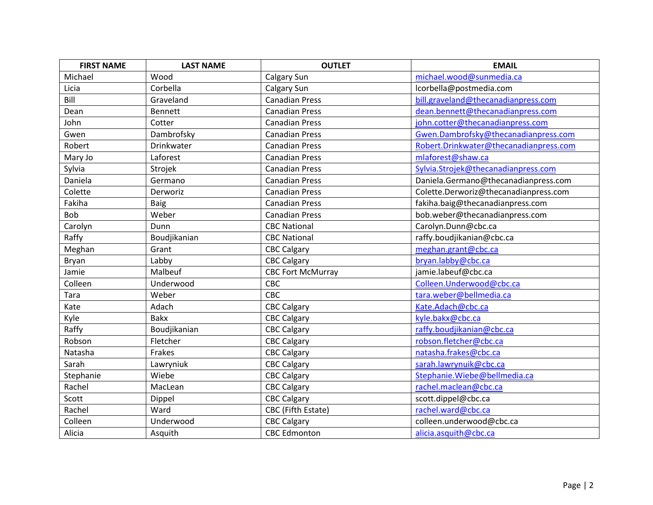| <b>FIRST NAME</b> | <b>LAST NAME</b> | <b>OUTLET</b>            | <b>EMAIL</b>                           |
|-------------------|------------------|--------------------------|----------------------------------------|
| Michael           | Wood             | Calgary Sun              | michael.wood@sunmedia.ca               |
| Licia             | Corbella         | Calgary Sun              | lcorbella@postmedia.com                |
| Bill              | Graveland        | <b>Canadian Press</b>    | bill.graveland@thecanadianpress.com    |
| Dean              | Bennett          | <b>Canadian Press</b>    | dean.bennett@thecanadianpress.com      |
| John              | Cotter           | <b>Canadian Press</b>    | john.cotter@thecanadianpress.com       |
| Gwen              | Dambrofsky       | <b>Canadian Press</b>    | Gwen.Dambrofsky@thecanadianpress.com   |
| Robert            | Drinkwater       | <b>Canadian Press</b>    | Robert.Drinkwater@thecanadianpress.com |
| Mary Jo           | Laforest         | <b>Canadian Press</b>    | mlaforest@shaw.ca                      |
| Sylvia            | Strojek          | <b>Canadian Press</b>    | Sylvia.Strojek@thecanadianpress.com    |
| Daniela           | Germano          | <b>Canadian Press</b>    | Daniela.Germano@thecanadianpress.com   |
| Colette           | Derworiz         | <b>Canadian Press</b>    | Colette.Derworiz@thecanadianpress.com  |
| Fakiha            | Baig             | <b>Canadian Press</b>    | fakiha.baig@thecanadianpress.com       |
| <b>Bob</b>        | Weber            | <b>Canadian Press</b>    | bob.weber@thecanadianpress.com         |
| Carolyn           | Dunn             | <b>CBC National</b>      | Carolyn.Dunn@cbc.ca                    |
| Raffy             | Boudjikanian     | <b>CBC National</b>      | raffy.boudjikanian@cbc.ca              |
| Meghan            | Grant            | <b>CBC Calgary</b>       | meghan.grant@cbc.ca                    |
| Bryan             | Labby            | <b>CBC Calgary</b>       | bryan.labby@cbc.ca                     |
| Jamie             | Malbeuf          | <b>CBC Fort McMurray</b> | jamie.labeuf@cbc.ca                    |
| Colleen           | Underwood        | CBC                      | Colleen.Underwood@cbc.ca               |
| Tara              | Weber            | CBC                      | tara.weber@bellmedia.ca                |
| Kate              | Adach            | <b>CBC Calgary</b>       | Kate.Adach@cbc.ca                      |
| Kyle              | <b>Bakx</b>      | <b>CBC Calgary</b>       | kyle.bakx@cbc.ca                       |
| Raffy             | Boudjikanian     | <b>CBC Calgary</b>       | raffy.boudjikanian@cbc.ca              |
| Robson            | Fletcher         | <b>CBC Calgary</b>       | robson.fletcher@cbc.ca                 |
| Natasha           | Frakes           | <b>CBC Calgary</b>       | natasha.frakes@cbc.ca                  |
| Sarah             | Lawryniuk        | <b>CBC Calgary</b>       | sarah.lawrynuik@cbc.ca                 |
| Stephanie         | Wiebe            | <b>CBC Calgary</b>       | Stephanie.Wiebe@bellmedia.ca           |
| Rachel            | MacLean          | <b>CBC Calgary</b>       | rachel.maclean@cbc.ca                  |
| Scott             | Dippel           | <b>CBC Calgary</b>       | scott.dippel@cbc.ca                    |
| Rachel            | Ward             | CBC (Fifth Estate)       | rachel.ward@cbc.ca                     |
| Colleen           | Underwood        | <b>CBC Calgary</b>       | colleen.underwood@cbc.ca               |
| Alicia            | Asquith          | <b>CBC Edmonton</b>      | alicia.asquith@cbc.ca                  |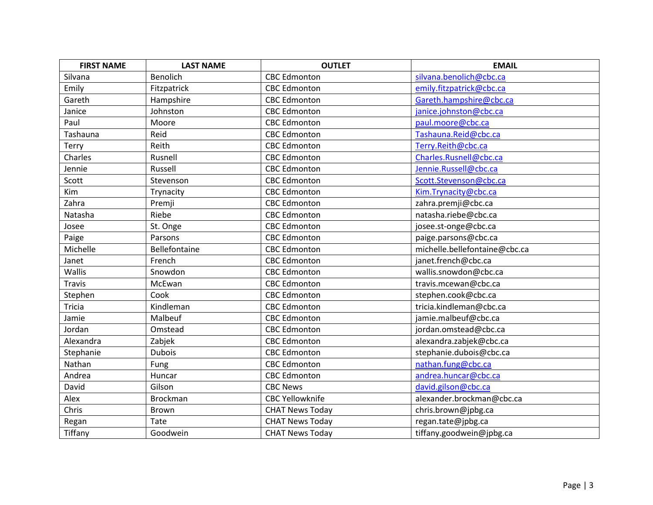| <b>FIRST NAME</b> | <b>LAST NAME</b> | <b>OUTLET</b>          | <b>EMAIL</b>                  |
|-------------------|------------------|------------------------|-------------------------------|
| Silvana           | <b>Benolich</b>  | <b>CBC Edmonton</b>    | silvana.benolich@cbc.ca       |
| Emily             | Fitzpatrick      | <b>CBC Edmonton</b>    | emily.fitzpatrick@cbc.ca      |
| Gareth            | Hampshire        | <b>CBC Edmonton</b>    | Gareth.hampshire@cbc.ca       |
| Janice            | Johnston         | <b>CBC Edmonton</b>    | janice.johnston@cbc.ca        |
| Paul              | Moore            | <b>CBC Edmonton</b>    | paul.moore@cbc.ca             |
| Tashauna          | Reid             | <b>CBC Edmonton</b>    | Tashauna.Reid@cbc.ca          |
| <b>Terry</b>      | Reith            | <b>CBC Edmonton</b>    | Terry.Reith@cbc.ca            |
| Charles           | Rusnell          | <b>CBC Edmonton</b>    | Charles.Rusnell@cbc.ca        |
| Jennie            | Russell          | <b>CBC Edmonton</b>    | Jennie.Russell@cbc.ca         |
| Scott             | Stevenson        | <b>CBC Edmonton</b>    | Scott.Stevenson@cbc.ca        |
| Kim               | Trynacity        | <b>CBC Edmonton</b>    | Kim.Trynacity@cbc.ca          |
| Zahra             | Premji           | <b>CBC Edmonton</b>    | zahra.premji@cbc.ca           |
| Natasha           | Riebe            | <b>CBC Edmonton</b>    | natasha.riebe@cbc.ca          |
| Josee             | St. Onge         | <b>CBC Edmonton</b>    | josee.st-onge@cbc.ca          |
| Paige             | Parsons          | <b>CBC Edmonton</b>    | paige.parsons@cbc.ca          |
| Michelle          | Bellefontaine    | <b>CBC Edmonton</b>    | michelle.bellefontaine@cbc.ca |
| Janet             | French           | <b>CBC Edmonton</b>    | janet.french@cbc.ca           |
| Wallis            | Snowdon          | <b>CBC Edmonton</b>    | wallis.snowdon@cbc.ca         |
| <b>Travis</b>     | McEwan           | <b>CBC Edmonton</b>    | travis.mcewan@cbc.ca          |
| Stephen           | Cook             | <b>CBC Edmonton</b>    | stephen.cook@cbc.ca           |
| <b>Tricia</b>     | Kindleman        | <b>CBC Edmonton</b>    | tricia.kindleman@cbc.ca       |
| Jamie             | Malbeuf          | <b>CBC Edmonton</b>    | jamie.malbeuf@cbc.ca          |
| Jordan            | Omstead          | <b>CBC Edmonton</b>    | jordan.omstead@cbc.ca         |
| Alexandra         | Zabjek           | <b>CBC Edmonton</b>    | alexandra.zabjek@cbc.ca       |
| Stephanie         | <b>Dubois</b>    | <b>CBC Edmonton</b>    | stephanie.dubois@cbc.ca       |
| Nathan            | Fung             | <b>CBC Edmonton</b>    | nathan.fung@cbc.ca            |
| Andrea            | Huncar           | <b>CBC Edmonton</b>    | andrea.huncar@cbc.ca          |
| David             | Gilson           | <b>CBC News</b>        | david.gilson@cbc.ca           |
| Alex              | <b>Brockman</b>  | <b>CBC Yellowknife</b> | alexander.brockman@cbc.ca     |
| Chris             | Brown            | <b>CHAT News Today</b> | chris.brown@jpbg.ca           |
| Regan             | Tate             | <b>CHAT News Today</b> | regan.tate@jpbg.ca            |
| Tiffany           | Goodwein         | <b>CHAT News Today</b> | tiffany.goodwein@jpbg.ca      |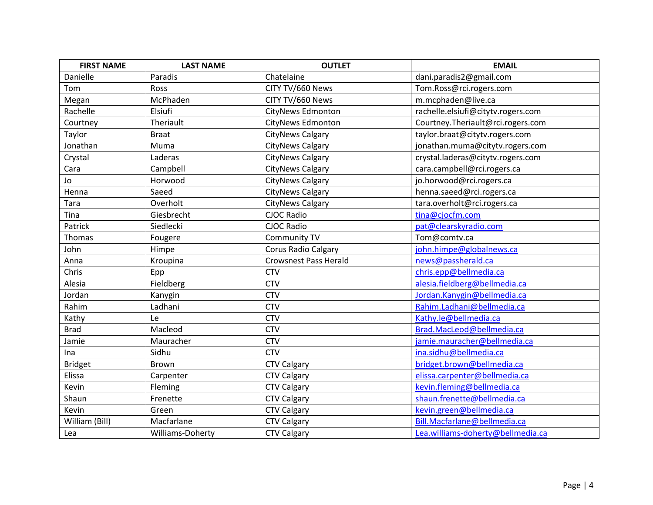| <b>FIRST NAME</b> | <b>LAST NAME</b> | <b>OUTLET</b>                | <b>EMAIL</b>                       |
|-------------------|------------------|------------------------------|------------------------------------|
| Danielle          | Paradis          | Chatelaine                   | dani.paradis2@gmail.com            |
| Tom               | Ross             | CITY TV/660 News             | Tom.Ross@rci.rogers.com            |
| Megan             | McPhaden         | CITY TV/660 News             | m.mcphaden@live.ca                 |
| Rachelle          | Elsiufi          | CityNews Edmonton            | rachelle.elsiufi@citytv.rogers.com |
| Courtney          | Theriault        | <b>CityNews Edmonton</b>     | Courtney.Theriault@rci.rogers.com  |
| Taylor            | <b>Braat</b>     | <b>CityNews Calgary</b>      | taylor.braat@citytv.rogers.com     |
| Jonathan          | Muma             | <b>CityNews Calgary</b>      | jonathan.muma@citytv.rogers.com    |
| Crystal           | Laderas          | CityNews Calgary             | crystal.laderas@citytv.rogers.com  |
| Cara              | Campbell         | <b>CityNews Calgary</b>      | cara.campbell@rci.rogers.ca        |
| Jo                | Horwood          | <b>CityNews Calgary</b>      | jo.horwood@rci.rogers.ca           |
| Henna             | Saeed            | <b>CityNews Calgary</b>      | henna.saeed@rci.rogers.ca          |
| Tara              | Overholt         | <b>CityNews Calgary</b>      | tara.overholt@rci.rogers.ca        |
| Tina              | Giesbrecht       | <b>CJOC Radio</b>            | tina@cjocfm.com                    |
| Patrick           | Siedlecki        | <b>CJOC Radio</b>            | pat@clearskyradio.com              |
| Thomas            | Fougere          | Community TV                 | Tom@comtv.ca                       |
| John              | Himpe            | Corus Radio Calgary          | john.himpe@globalnews.ca           |
| Anna              | Kroupina         | <b>Crowsnest Pass Herald</b> | news@passherald.ca                 |
| Chris             | Epp              | <b>CTV</b>                   | chris.epp@bellmedia.ca             |
| Alesia            | Fieldberg        | <b>CTV</b>                   | alesia.fieldberg@bellmedia.ca      |
| Jordan            | Kanygin          | <b>CTV</b>                   | Jordan.Kanygin@bellmedia.ca        |
| Rahim             | Ladhani          | <b>CTV</b>                   | Rahim.Ladhani@bellmedia.ca         |
| Kathy             | Le               | <b>CTV</b>                   | Kathy.le@bellmedia.ca              |
| <b>Brad</b>       | Macleod          | <b>CTV</b>                   | Brad.MacLeod@bellmedia.ca          |
| Jamie             | Mauracher        | <b>CTV</b>                   | jamie.mauracher@bellmedia.ca       |
| Ina               | Sidhu            | <b>CTV</b>                   | ina.sidhu@bellmedia.ca             |
| <b>Bridget</b>    | Brown            | <b>CTV Calgary</b>           | bridget.brown@bellmedia.ca         |
| Elissa            | Carpenter        | <b>CTV Calgary</b>           | elissa.carpenter@bellmedia.ca      |
| Kevin             | Fleming          | <b>CTV Calgary</b>           | kevin.fleming@bellmedia.ca         |
| Shaun             | Frenette         | <b>CTV Calgary</b>           | shaun.frenette@bellmedia.ca        |
| Kevin             | Green            | <b>CTV Calgary</b>           | kevin.green@bellmedia.ca           |
| William (Bill)    | Macfarlane       | <b>CTV Calgary</b>           | Bill.Macfarlane@bellmedia.ca       |
| Lea               | Williams-Doherty | <b>CTV Calgary</b>           | Lea.williams-doherty@bellmedia.ca  |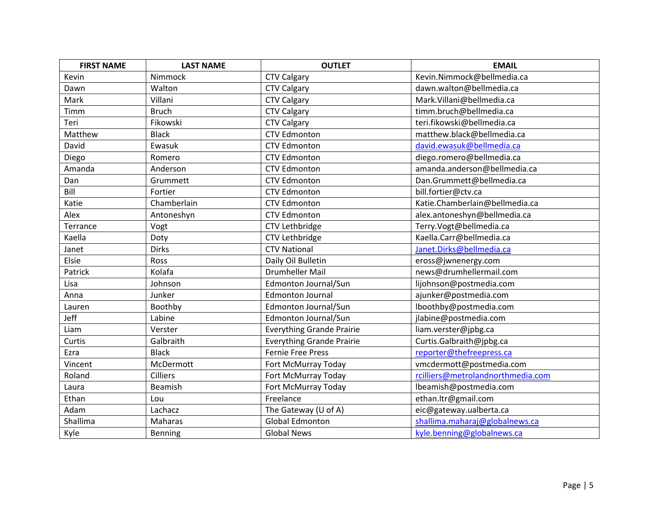| <b>FIRST NAME</b> | <b>LAST NAME</b> | <b>OUTLET</b>                    | <b>EMAIL</b>                      |
|-------------------|------------------|----------------------------------|-----------------------------------|
| Kevin             | Nimmock          | <b>CTV Calgary</b>               | Kevin.Nimmock@bellmedia.ca        |
| Dawn              | Walton           | <b>CTV Calgary</b>               | dawn.walton@bellmedia.ca          |
| Mark              | Villani          | <b>CTV Calgary</b>               | Mark.Villani@bellmedia.ca         |
| Timm              | <b>Bruch</b>     | CTV Calgary                      | timm.bruch@bellmedia.ca           |
| Teri              | Fikowski         | <b>CTV Calgary</b>               | teri.fikowski@bellmedia.ca        |
| Matthew           | <b>Black</b>     | <b>CTV Edmonton</b>              | matthew.black@bellmedia.ca        |
| David             | Ewasuk           | <b>CTV Edmonton</b>              | david.ewasuk@bellmedia.ca         |
| Diego             | Romero           | <b>CTV Edmonton</b>              | diego.romero@bellmedia.ca         |
| Amanda            | Anderson         | <b>CTV Edmonton</b>              | amanda.anderson@bellmedia.ca      |
| Dan               | Grummett         | <b>CTV Edmonton</b>              | Dan.Grummett@bellmedia.ca         |
| Bill              | Fortier          | <b>CTV Edmonton</b>              | bill.fortier@ctv.ca               |
| Katie             | Chamberlain      | <b>CTV Edmonton</b>              | Katie.Chamberlain@bellmedia.ca    |
| Alex              | Antoneshyn       | <b>CTV Edmonton</b>              | alex.antoneshyn@bellmedia.ca      |
| Terrance          | Vogt             | CTV Lethbridge                   | Terry.Vogt@bellmedia.ca           |
| Kaella            | Doty             | CTV Lethbridge                   | Kaella.Carr@bellmedia.ca          |
| Janet             | <b>Dirks</b>     | <b>CTV National</b>              | Janet.Dirks@bellmedia.ca          |
| Elsie             | Ross             | Daily Oil Bulletin               | eross@jwnenergy.com               |
| Patrick           | Kolafa           | <b>Drumheller Mail</b>           | news@drumhellermail.com           |
| Lisa              | Johnson          | Edmonton Journal/Sun             | lijohnson@postmedia.com           |
| Anna              | Junker           | <b>Edmonton Journal</b>          | ajunker@postmedia.com             |
| Lauren            | Boothby          | Edmonton Journal/Sun             | lboothby@postmedia.com            |
| Jeff              | Labine           | Edmonton Journal/Sun             | jlabine@postmedia.com             |
| Liam              | Verster          | <b>Everything Grande Prairie</b> | liam.verster@jpbg.ca              |
| Curtis            | Galbraith        | <b>Everything Grande Prairie</b> | Curtis.Galbraith@jpbg.ca          |
| Ezra              | <b>Black</b>     | <b>Fernie Free Press</b>         | reporter@thefreepress.ca          |
| Vincent           | McDermott        | Fort McMurray Today              | vmcdermott@postmedia.com          |
| Roland            | <b>Cilliers</b>  | Fort McMurray Today              | rcilliers@metrolandnorthmedia.com |
| Laura             | Beamish          | Fort McMurray Today              | lbeamish@postmedia.com            |
| Ethan             | Lou              | Freelance                        | ethan.ltr@gmail.com               |
| Adam              | Lachacz          | The Gateway (U of A)             | eic@gateway.ualberta.ca           |
| Shallima          | Maharas          | <b>Global Edmonton</b>           | shallima.maharaj@globalnews.ca    |
| Kyle              | Benning          | <b>Global News</b>               | kyle.benning@globalnews.ca        |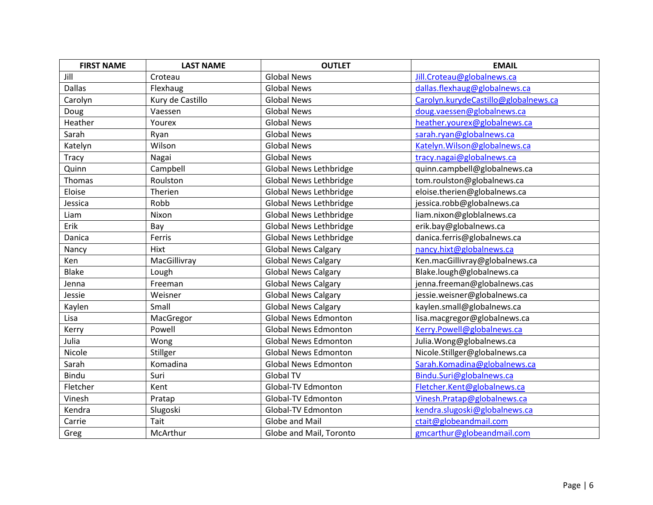| <b>FIRST NAME</b> | <b>LAST NAME</b> | <b>OUTLET</b>                 | <b>EMAIL</b>                         |
|-------------------|------------------|-------------------------------|--------------------------------------|
| Jill              | Croteau          | <b>Global News</b>            | Jill.Croteau@globalnews.ca           |
| <b>Dallas</b>     | Flexhaug         | <b>Global News</b>            | dallas.flexhaug@globalnews.ca        |
| Carolyn           | Kury de Castillo | <b>Global News</b>            | Carolyn.kurydeCastillo@globalnews.ca |
| Doug              | Vaessen          | <b>Global News</b>            | doug.vaessen@globalnews.ca           |
| Heather           | Yourex           | <b>Global News</b>            | heather.yourex@globalnews.ca         |
| Sarah             | Ryan             | <b>Global News</b>            | sarah.ryan@globalnews.ca             |
| Katelyn           | Wilson           | <b>Global News</b>            | Katelyn. Wilson@globalnews.ca        |
| Tracy             | Nagai            | <b>Global News</b>            | tracy.nagai@globalnews.ca            |
| Quinn             | Campbell         | Global News Lethbridge        | quinn.campbell@globalnews.ca         |
| Thomas            | Roulston         | Global News Lethbridge        | tom.roulston@globalnews.ca           |
| Eloise            | Therien          | <b>Global News Lethbridge</b> | eloise.therien@globalnews.ca         |
| Jessica           | Robb             | <b>Global News Lethbridge</b> | jessica.robb@globalnews.ca           |
| Liam              | Nixon            | <b>Global News Lethbridge</b> | liam.nixon@globlalnews.ca            |
| Erik              | Bay              | Global News Lethbridge        | erik.bay@globalnews.ca               |
| Danica            | Ferris           | <b>Global News Lethbridge</b> | danica.ferris@globalnews.ca          |
| Nancy             | Hixt             | <b>Global News Calgary</b>    | nancy.hixt@globalnews.ca             |
| Ken               | MacGillivray     | <b>Global News Calgary</b>    | Ken.macGillivray@globalnews.ca       |
| <b>Blake</b>      | Lough            | <b>Global News Calgary</b>    | Blake.lough@globalnews.ca            |
| Jenna             | Freeman          | <b>Global News Calgary</b>    | jenna.freeman@globalnews.cas         |
| Jessie            | Weisner          | <b>Global News Calgary</b>    | jessie.weisner@globalnews.ca         |
| Kaylen            | Small            | <b>Global News Calgary</b>    | kaylen.small@globalnews.ca           |
| Lisa              | MacGregor        | <b>Global News Edmonton</b>   | lisa.macgregor@globalnews.ca         |
| Kerry             | Powell           | <b>Global News Edmonton</b>   | Kerry.Powell@globalnews.ca           |
| Julia             | Wong             | <b>Global News Edmonton</b>   | Julia. Wong@globalnews.ca            |
| Nicole            | Stillger         | <b>Global News Edmonton</b>   | Nicole.Stillger@globalnews.ca        |
| Sarah             | Komadina         | <b>Global News Edmonton</b>   | Sarah.Komadina@globalnews.ca         |
| Bindu             | Suri             | <b>Global TV</b>              | Bindu.Suri@globalnews.ca             |
| Fletcher          | Kent             | Global-TV Edmonton            | Fletcher.Kent@globalnews.ca          |
| Vinesh            | Pratap           | Global-TV Edmonton            | Vinesh.Pratap@globalnews.ca          |
| Kendra            | Slugoski         | Global-TV Edmonton            | kendra.slugoski@globalnews.ca        |
| Carrie            | Tait             | Globe and Mail                | ctait@globeandmail.com               |
| Greg              | McArthur         | Globe and Mail, Toronto       | gmcarthur@globeandmail.com           |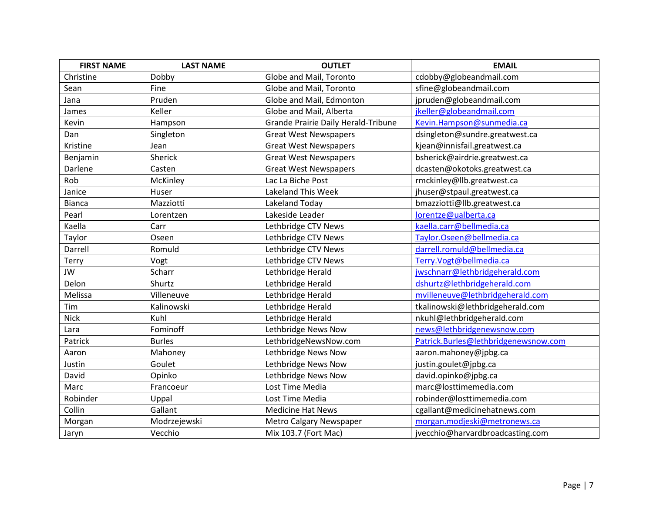| <b>FIRST NAME</b> | <b>LAST NAME</b> | <b>OUTLET</b>                       | <b>EMAIL</b>                         |
|-------------------|------------------|-------------------------------------|--------------------------------------|
| Christine         | Dobby            | Globe and Mail, Toronto             | cdobby@globeandmail.com              |
| Sean              | Fine             | Globe and Mail, Toronto             | sfine@globeandmail.com               |
| Jana              | Pruden           | Globe and Mail, Edmonton            | jpruden@globeandmail.com             |
| James             | Keller           | Globe and Mail, Alberta             | jkeller@globeandmail.com             |
| Kevin             | Hampson          | Grande Prairie Daily Herald-Tribune | Kevin.Hampson@sunmedia.ca            |
| Dan               | Singleton        | <b>Great West Newspapers</b>        | dsingleton@sundre.greatwest.ca       |
| Kristine          | Jean             | <b>Great West Newspapers</b>        | kjean@innisfail.greatwest.ca         |
| Benjamin          | Sherick          | <b>Great West Newspapers</b>        | bsherick@airdrie.greatwest.ca        |
| Darlene           | Casten           | <b>Great West Newspapers</b>        | dcasten@okotoks.greatwest.ca         |
| Rob               | McKinley         | Lac La Biche Post                   | rmckinley@llb.greatwest.ca           |
| Janice            | Huser            | <b>Lakeland This Week</b>           | jhuser@stpaul.greatwest.ca           |
| <b>Bianca</b>     | Mazziotti        | Lakeland Today                      | bmazziotti@llb.greatwest.ca          |
| Pearl             | Lorentzen        | Lakeside Leader                     | lorentze@ualberta.ca                 |
| Kaella            | Carr             | Lethbridge CTV News                 | kaella.carr@bellmedia.ca             |
| Taylor            | Oseen            | Lethbridge CTV News                 | Taylor.Oseen@bellmedia.ca            |
| Darrell           | Romuld           | Lethbridge CTV News                 | darrell.romuld@bellmedia.ca          |
| Terry             | Vogt             | Lethbridge CTV News                 | Terry.Vogt@bellmedia.ca              |
| JW                | Scharr           | Lethbridge Herald                   | jwschnarr@lethbridgeherald.com       |
| Delon             | Shurtz           | Lethbridge Herald                   | dshurtz@lethbridgeherald.com         |
| Melissa           | Villeneuve       | Lethbridge Herald                   | mvilleneuve@lethbridgeherald.com     |
| Tim               | Kalinowski       | Lethbridge Herald                   | tkalinowski@lethbridgeherald.com     |
| <b>Nick</b>       | Kuhl             | Lethbridge Herald                   | nkuhl@lethbridgeherald.com           |
| Lara              | Fominoff         | Lethbridge News Now                 | news@lethbridgenewsnow.com           |
| Patrick           | <b>Burles</b>    | LethbridgeNewsNow.com               | Patrick.Burles@lethbridgenewsnow.com |
| Aaron             | Mahoney          | Lethbridge News Now                 | aaron.mahoney@jpbg.ca                |
| Justin            | Goulet           | Lethbridge News Now                 | justin.goulet@jpbg.ca                |
| David             | Opinko           | Lethbridge News Now                 | david.opinko@jpbg.ca                 |
| Marc              | Francoeur        | Lost Time Media                     | marc@losttimemedia.com               |
| Robinder          | Uppal            | Lost Time Media                     | robinder@losttimemedia.com           |
| Collin            | Gallant          | <b>Medicine Hat News</b>            | cgallant@medicinehatnews.com         |
| Morgan            | Modrzejewski     | <b>Metro Calgary Newspaper</b>      | morgan.modjeski@metronews.ca         |
| Jaryn             | Vecchio          | Mix 103.7 (Fort Mac)                | jvecchio@harvardbroadcasting.com     |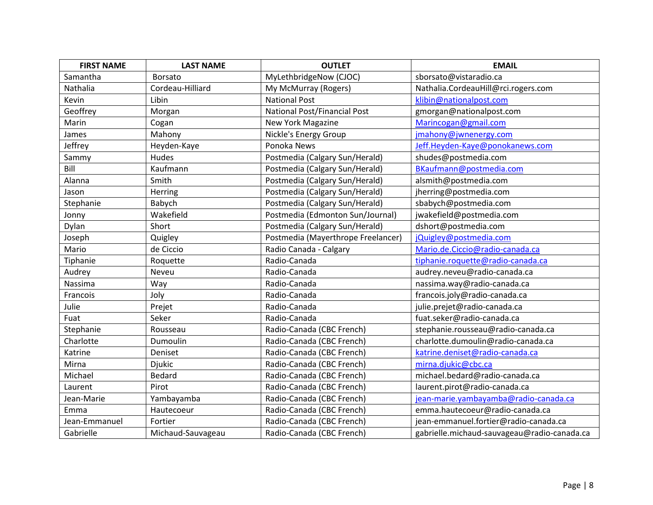| <b>FIRST NAME</b> | <b>LAST NAME</b>  | <b>OUTLET</b>                       | <b>EMAIL</b>                                |
|-------------------|-------------------|-------------------------------------|---------------------------------------------|
| Samantha          | <b>Borsato</b>    | MyLethbridgeNow (CJOC)              | sborsato@vistaradio.ca                      |
| Nathalia          | Cordeau-Hilliard  | My McMurray (Rogers)                | Nathalia.CordeauHill@rci.rogers.com         |
| Kevin             | Libin             | <b>National Post</b>                | klibin@nationalpost.com                     |
| Geoffrey          | Morgan            | <b>National Post/Financial Post</b> | gmorgan@nationalpost.com                    |
| Marin             | Cogan             | New York Magazine                   | Marincogan@gmail.com                        |
| James             | Mahony            | Nickle's Energy Group               | jmahony@jwnenergy.com                       |
| Jeffrey           | Heyden-Kaye       | Ponoka News                         | Jeff.Heyden-Kaye@ponokanews.com             |
| Sammy             | Hudes             | Postmedia (Calgary Sun/Herald)      | shudes@postmedia.com                        |
| Bill              | Kaufmann          | Postmedia (Calgary Sun/Herald)      | BKaufmann@postmedia.com                     |
| Alanna            | Smith             | Postmedia (Calgary Sun/Herald)      | alsmith@postmedia.com                       |
| Jason             | Herring           | Postmedia (Calgary Sun/Herald)      | jherring@postmedia.com                      |
| Stephanie         | Babych            | Postmedia (Calgary Sun/Herald)      | sbabych@postmedia.com                       |
| Jonny             | Wakefield         | Postmedia (Edmonton Sun/Journal)    | jwakefield@postmedia.com                    |
| Dylan             | Short             | Postmedia (Calgary Sun/Herald)      | dshort@postmedia.com                        |
| Joseph            | Quigley           | Postmedia (Mayerthrope Freelancer)  | jQuigley@postmedia.com                      |
| Mario             | de Ciccio         | Radio Canada - Calgary              | Mario.de.Ciccio@radio-canada.ca             |
| Tiphanie          | Roquette          | Radio-Canada                        | tiphanie.roquette@radio-canada.ca           |
| Audrey            | Neveu             | Radio-Canada                        | audrey.neveu@radio-canada.ca                |
| Nassima           | Way               | Radio-Canada                        | nassima.way@radio-canada.ca                 |
| Francois          | Joly              | Radio-Canada                        | francois.joly@radio-canada.ca               |
| Julie             | Prejet            | Radio-Canada                        | julie.prejet@radio-canada.ca                |
| Fuat              | Seker             | Radio-Canada                        | fuat.seker@radio-canada.ca                  |
| Stephanie         | Rousseau          | Radio-Canada (CBC French)           | stephanie.rousseau@radio-canada.ca          |
| Charlotte         | Dumoulin          | Radio-Canada (CBC French)           | charlotte.dumoulin@radio-canada.ca          |
| Katrine           | Deniset           | Radio-Canada (CBC French)           | katrine.deniset@radio-canada.ca             |
| Mirna             | <b>Djukic</b>     | Radio-Canada (CBC French)           | mirna.djukic@cbc.ca                         |
| Michael           | Bedard            | Radio-Canada (CBC French)           | michael.bedard@radio-canada.ca              |
| Laurent           | Pirot             | Radio-Canada (CBC French)           | laurent.pirot@radio-canada.ca               |
| Jean-Marie        | Yambayamba        | Radio-Canada (CBC French)           | jean-marie.yambayamba@radio-canada.ca       |
| Emma              | Hautecoeur        | Radio-Canada (CBC French)           | emma.hautecoeur@radio-canada.ca             |
| Jean-Emmanuel     | Fortier           | Radio-Canada (CBC French)           | jean-emmanuel.fortier@radio-canada.ca       |
| Gabrielle         | Michaud-Sauvageau | Radio-Canada (CBC French)           | gabrielle.michaud-sauvageau@radio-canada.ca |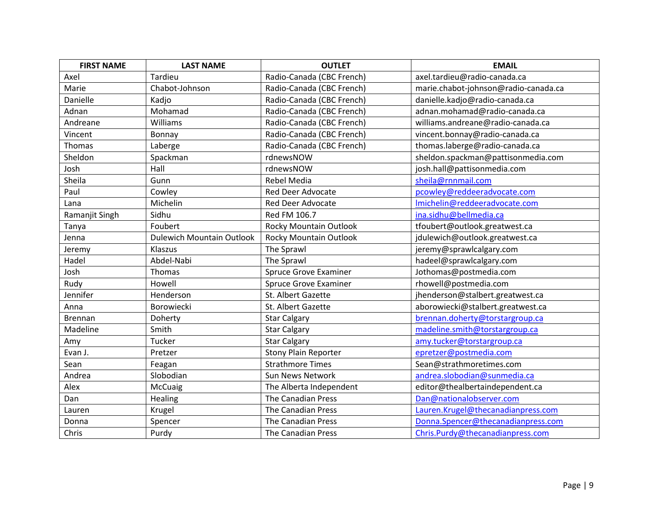| <b>FIRST NAME</b> | <b>LAST NAME</b>                 | <b>OUTLET</b>                | <b>EMAIL</b>                         |
|-------------------|----------------------------------|------------------------------|--------------------------------------|
| Axel              | <b>Tardieu</b>                   | Radio-Canada (CBC French)    | axel.tardieu@radio-canada.ca         |
| Marie             | Chabot-Johnson                   | Radio-Canada (CBC French)    | marie.chabot-johnson@radio-canada.ca |
| Danielle          | Kadjo                            | Radio-Canada (CBC French)    | danielle.kadjo@radio-canada.ca       |
| Adnan             | Mohamad                          | Radio-Canada (CBC French)    | adnan.mohamad@radio-canada.ca        |
| Andreane          | Williams                         | Radio-Canada (CBC French)    | williams.andreane@radio-canada.ca    |
| Vincent           | Bonnay                           | Radio-Canada (CBC French)    | vincent.bonnay@radio-canada.ca       |
| Thomas            | Laberge                          | Radio-Canada (CBC French)    | thomas.laberge@radio-canada.ca       |
| Sheldon           | Spackman                         | rdnewsNOW                    | sheldon.spackman@pattisonmedia.com   |
| Josh              | Hall                             | rdnewsNOW                    | josh.hall@pattisonmedia.com          |
| Sheila            | Gunn                             | <b>Rebel Media</b>           | sheila@rnnmail.com                   |
| Paul              | Cowley                           | <b>Red Deer Advocate</b>     | pcowley@reddeeradvocate.com          |
| Lana              | Michelin                         | <b>Red Deer Advocate</b>     | Imichelin@reddeeradvocate.com        |
| Ramanjit Singh    | Sidhu                            | Red FM 106.7                 | ina.sidhu@bellmedia.ca               |
| Tanya             | Foubert                          | Rocky Mountain Outlook       | tfoubert@outlook.greatwest.ca        |
| Jenna             | <b>Dulewich Mountain Outlook</b> | Rocky Mountain Outlook       | jdulewich@outlook.greatwest.ca       |
| Jeremy            | Klaszus                          | The Sprawl                   | jeremy@sprawlcalgary.com             |
| Hadel             | Abdel-Nabi                       | The Sprawl                   | hadeel@sprawlcalgary.com             |
| Josh              | Thomas                           | <b>Spruce Grove Examiner</b> | Jothomas@postmedia.com               |
| Rudy              | Howell                           | <b>Spruce Grove Examiner</b> | rhowell@postmedia.com                |
| Jennifer          | Henderson                        | St. Albert Gazette           | jhenderson@stalbert.greatwest.ca     |
| Anna              | Borowiecki                       | St. Albert Gazette           | aborowiecki@stalbert.greatwest.ca    |
| <b>Brennan</b>    | Doherty                          | <b>Star Calgary</b>          | brennan.doherty@torstargroup.ca      |
| Madeline          | Smith                            | <b>Star Calgary</b>          | madeline.smith@torstargroup.ca       |
| Amy               | Tucker                           | <b>Star Calgary</b>          | amy.tucker@torstargroup.ca           |
| Evan J.           | Pretzer                          | <b>Stony Plain Reporter</b>  | epretzer@postmedia.com               |
| Sean              | Feagan                           | <b>Strathmore Times</b>      | Sean@strathmoretimes.com             |
| Andrea            | Slobodian                        | Sun News Network             | andrea.slobodian@sunmedia.ca         |
| Alex              | McCuaig                          | The Alberta Independent      | editor@thealbertaindependent.ca      |
| Dan               | Healing                          | The Canadian Press           | Dan@nationalobserver.com             |
| Lauren            | Krugel                           | <b>The Canadian Press</b>    | Lauren.Krugel@thecanadianpress.com   |
| Donna             | Spencer                          | <b>The Canadian Press</b>    | Donna.Spencer@thecanadianpress.com   |
| Chris             | Purdy                            | <b>The Canadian Press</b>    | Chris.Purdy@thecanadianpress.com     |